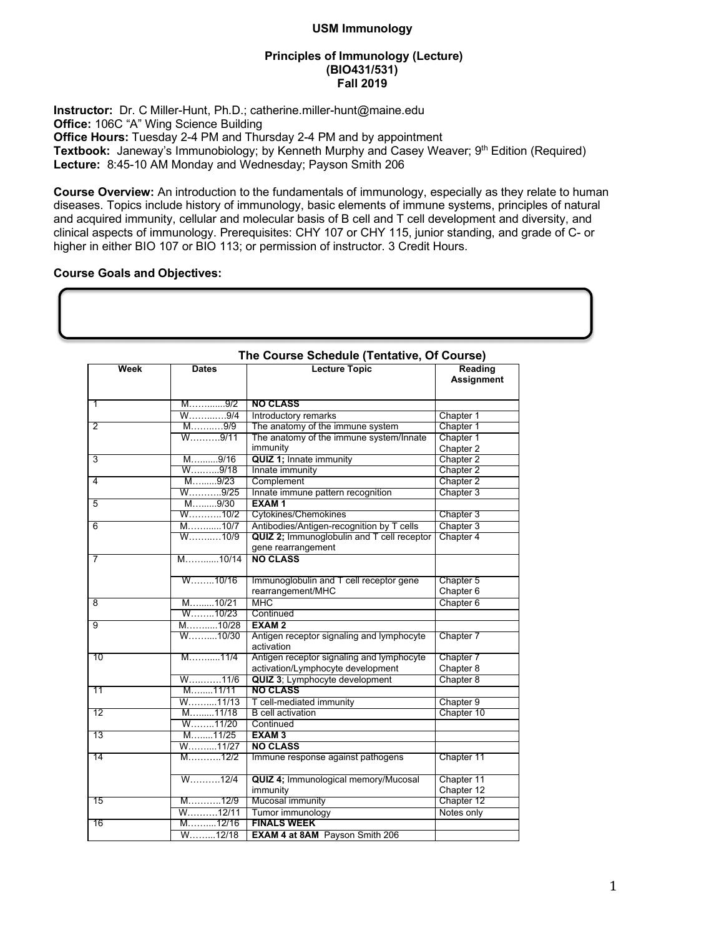## **USM Immunology**

## **Principles of Immunology (Lecture) (BIO431/531) Fall 2019**

**Instructor:** Dr. C Miller-Hunt, Ph.D.; catherine.miller-hunt@maine.edu **Office:** 106C "A" Wing Science Building **Office Hours:** Tuesday 2-4 PM and Thursday 2-4 PM and by appointment Textbook: Janeway's Immunobiology; by Kenneth Murphy and Casey Weaver; 9<sup>th</sup> Edition (Required) **Lecture:** 8:45-10 AM Monday and Wednesday; Payson Smith 206

**Course Overview:** An introduction to the fundamentals of immunology, especially as they relate to human diseases. Topics include history of immunology, basic elements of immune systems, principles of natural and acquired immunity, cellular and molecular basis of B cell and T cell development and diversity, and clinical aspects of immunology. Prerequisites: CHY 107 or CHY 115, junior standing, and grade of C- or higher in either BIO 107 or BIO 113; or permission of instructor. 3 Credit Hours.

## **Course Goals and Objectives:**

| Week           | <b>Dates</b>       | The Course Schedule (Tentative, Of Course)<br><b>Lecture Topic</b> | Reading                |
|----------------|--------------------|--------------------------------------------------------------------|------------------------|
|                |                    |                                                                    | Assignment             |
| 1              | M9/2               | <b>NO CLASS</b>                                                    |                        |
|                | W9/4               | Introductory remarks                                               | Chapter 1              |
| 2              | M9/9               | The anatomy of the immune system                                   | Chapter 1              |
|                | W9/11              | The anatomy of the immune system/Innate<br>immunity                | Chapter 1<br>Chapter 2 |
| 3              | M9/16              | <b>QUIZ 1; Innate immunity</b>                                     | Chapter 2              |
|                | W9/18              | Innate immunity                                                    | Chapter 2              |
| 4              | M9/23              | Complement                                                         | Chapter 2              |
|                | W. 9/25            | Innate immune pattern recognition                                  | Chapter 3              |
| 5              | M9/30              | EXAM <sub>1</sub>                                                  |                        |
|                | W10/2              | Cytokines/Chemokines                                               | Chapter 3              |
| 6              | $M$ 10/7           | Antibodies/Antigen-recognition by T cells                          | Chapter 3              |
|                | W10/9              | QUIZ 2; Immunoglobulin and T cell receptor<br>gene rearrangement   | Chapter 4              |
| 7              | M10/14             | <b>NO CLASS</b>                                                    |                        |
|                | W10/16             | Immunoglobulin and T cell receptor gene                            | Chapter 5              |
|                |                    | rearrangement/MHC                                                  | Chapter 6              |
| $\overline{8}$ | M10/21             | <b>MHC</b>                                                         | Chapter 6              |
|                | $W$ 10/23          | Continued                                                          |                        |
| $\overline{9}$ | M10/28             | <b>EXAM2</b>                                                       |                        |
|                | W10/30             | Antigen receptor signaling and lymphocyte<br>activation            | Chapter 7              |
| 10             | M11/4              | Antigen receptor signaling and lymphocyte                          | Chapter 7              |
|                |                    | activation/Lymphocyte development                                  | Chapter 8              |
|                | W11/6              | QUIZ 3; Lymphocyte development                                     | Chapter 8              |
| 11             | M11/11             | <b>NO CLASS</b>                                                    |                        |
|                | W11/13             | T cell-mediated immunity                                           | Chapter 9              |
| 12             | M11/18             | <b>B</b> cell activation                                           | Chapter 10             |
|                | W11/20             | Continued                                                          |                        |
| 13             | M11/25             | <b>EXAM3</b>                                                       |                        |
|                | W11/27             | <b>NO CLASS</b>                                                    |                        |
| 14             | M12/2              | Immune response against pathogens                                  | Chapter 11             |
|                | $W$ 12/4           | QUIZ 4; Immunological memory/Mucosal                               | Chapter 11             |
|                |                    | immunity                                                           | Chapter 12             |
| 15             | M12/9              | Mucosal immunity                                                   | Chapter 12             |
|                | W12/11             | Tumor immunology                                                   | Notes only             |
| 16             | M12/16             | <b>FINALS WEEK</b>                                                 |                        |
|                | $W_{\dots}, 12/18$ | <b>EXAM 4 at 8AM</b> Payson Smith 206                              |                        |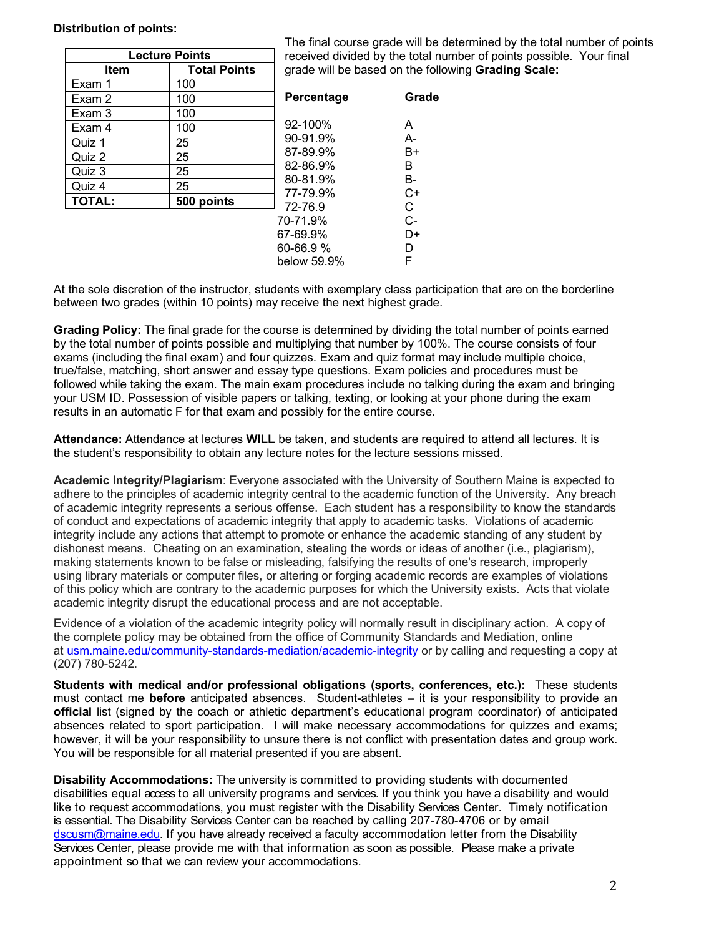## **Distribution of points:**

| <b>Lecture Points</b> |                     |                      |
|-----------------------|---------------------|----------------------|
| Item                  | <b>Total Points</b> | grad                 |
| Exam 1                | 100                 |                      |
| Exam 2                | 100                 | Perc                 |
| Exam 3                | 100                 |                      |
| Exam 4                | 100                 | $92 - 1$             |
| Quiz 1                | 25                  | $90-9$               |
| Quiz 2                | 25                  | $87 - 8$             |
| Quiz 3                | 25                  | $82 - 8$             |
| Quiz 4                | 25                  | $80 - 8$<br>$77 - 7$ |
| <b>TOTAL:</b>         | 500 points          | $72 - 7$             |
|                       |                     | 70-71                |

The final course grade will be determined by the total number of points ived divided by the total number of points possible. Your final e will be based on the following Grading Scale:

| Percentage       | Grade |
|------------------|-------|
| 92-100%          | А     |
| 90-91.9%         | А-    |
| 87-89.9%         | B+    |
| 82-86.9%         | в     |
| 80-81.9%         | В-    |
| 77-79.9%         | C+    |
| 72-76.9          | C     |
| 70-71 9%         | C-    |
| 67-69.9%         | D+    |
| 60-66.9 <i>%</i> | D     |
| helow 59 9%      | F     |
|                  |       |

At the sole discretion of the instructor, students with exemplary class participation that are on the borderline between two grades (within 10 points) may receive the next highest grade.

**Grading Policy:** The final grade for the course is determined by dividing the total number of points earned by the total number of points possible and multiplying that number by 100%. The course consists of four exams (including the final exam) and four quizzes. Exam and quiz format may include multiple choice, true/false, matching, short answer and essay type questions. Exam policies and procedures must be followed while taking the exam. The main exam procedures include no talking during the exam and bringing your USM ID. Possession of visible papers or talking, texting, or looking at your phone during the exam results in an automatic F for that exam and possibly for the entire course.

**Attendance:** Attendance at lectures **WILL** be taken, and students are required to attend all lectures. It is the student's responsibility to obtain any lecture notes for the lecture sessions missed.

**Academic Integrity/Plagiarism**: Everyone associated with the University of Southern Maine is expected to adhere to the principles of academic integrity central to the academic function of the University. Any breach of academic integrity represents a serious offense. Each student has a responsibility to know the standards of conduct and expectations of academic integrity that apply to academic tasks. Violations of academic integrity include any actions that attempt to promote or enhance the academic standing of any student by dishonest means. Cheating on an examination, stealing the words or ideas of another (i.e., plagiarism), making statements known to be false or misleading, falsifying the results of one's research, improperly using library materials or computer files, or altering or forging academic records are examples of violations of this policy which are contrary to the academic purposes for which the University exists. Acts that violate academic integrity disrupt the educational process and are not acceptable.

Evidence of a violation of the academic integrity policy will normally result in disciplinary action. A copy of the complete policy may be obtained from the office of Community Standards and Mediation, online at usm.maine.edu/community-standards-mediation/academic-integrity or by calling and requesting a copy at (207) 780-5242.

**Students with medical and/or professional obligations (sports, conferences, etc.):**These students must contact me **before** anticipated absences. Student-athletes – it is your responsibility to provide an **official** list (signed by the coach or athletic department's educational program coordinator) of anticipated absences related to sport participation. I will make necessary accommodations for quizzes and exams; however, it will be your responsibility to unsure there is not conflict with presentation dates and group work. You will be responsible for all material presented if you are absent.

**Disability Accommodations:** The university is committed to providing students with documented disabilities equal access to all university programs and services. If you think you have a disability and would like to request accommodations, you must register with the Disability Services Center. Timely notification is essential. The Disability Services Center can be reached by calling 207-780-4706 or by email dscusm@maine.edu. If you have already received a faculty accommodation letter from the Disability Services Center, please provide me with that information as soon as possible. Please make a private appointment so that we can review your accommodations.